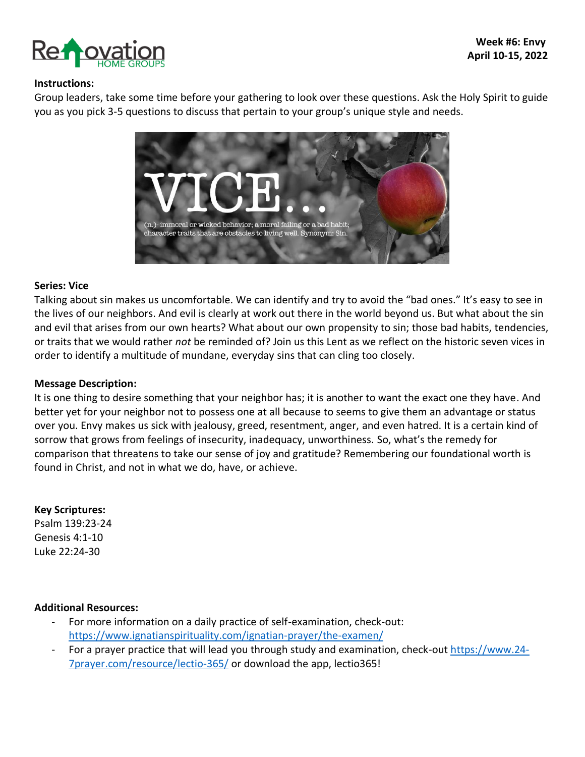

### **Instructions:**

Group leaders, take some time before your gathering to look over these questions. Ask the Holy Spirit to guide you as you pick 3-5 questions to discuss that pertain to your group's unique style and needs.



#### **Series: Vice**

Talking about sin makes us uncomfortable. We can identify and try to avoid the "bad ones." It's easy to see in the lives of our neighbors. And evil is clearly at work out there in the world beyond us. But what about the sin and evil that arises from our own hearts? What about our own propensity to sin; those bad habits, tendencies, or traits that we would rather *not* be reminded of? Join us this Lent as we reflect on the historic seven vices in order to identify a multitude of mundane, everyday sins that can cling too closely.

### **Message Description:**

It is one thing to desire something that your neighbor has; it is another to want the exact one they have. And better yet for your neighbor not to possess one at all because to seems to give them an advantage or status over you. Envy makes us sick with jealousy, greed, resentment, anger, and even hatred. It is a certain kind of sorrow that grows from feelings of insecurity, inadequacy, unworthiness. So, what's the remedy for comparison that threatens to take our sense of joy and gratitude? Remembering our foundational worth is found in Christ, and not in what we do, have, or achieve.

### **Key Scriptures:**

Psalm 139:23-24 Genesis 4:1-10 Luke 22:24-30

### **Additional Resources:**

- For more information on a daily practice of self-examination, check-out: <https://www.ignatianspirituality.com/ignatian-prayer/the-examen/>
- For a prayer practice that will lead you through study and examination, check-out [https://www.24-](https://www.24-7prayer.com/resource/lectio-365/) [7prayer.com/resource/lectio-365/](https://www.24-7prayer.com/resource/lectio-365/) or download the app, lectio365!